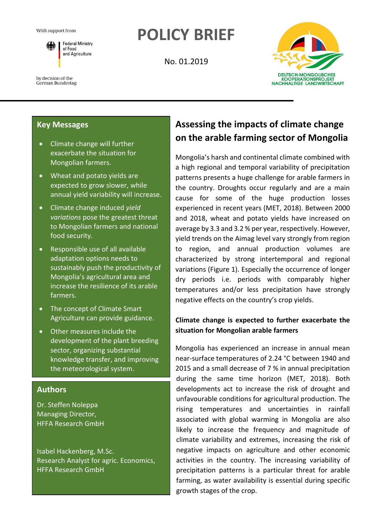**Federal Ministry** of Food and Agriculture

# **POLICY BRIEF**

No. 01.2019



by decision of the

German Bundestag

# **Key Messages**

- Climate change will further exacerbate the situation for Mongolian farmers.
- Wheat and potato yields are expected to grow slower, while annual yield variability will increase.
- Climate change induced *yield variations* pose the greatest threat to Mongolian farmers and national food security.
- Responsible use of all available adaptation options needs to sustainably push the productivity of Mongolia's agricultural area and increase the resilience of its arable farmers.
- The concept of Climate Smart Agriculture can provide guidance.
- Other measures include the development of the plant breeding sector, organizing substantial knowledge transfer, and improving the meteorological system.

# **Authors**

Dr. Steffen Noleppa Managing Director, HFFA Research GmbH

Isabel Hackenberg, M.Sc. Research Analyst for agric. Economics, HFFA Research GmbH

# **Assessing the impacts of climate change on the arable farming sector of Mongolia**

Mongolia's harsh and continental climate combined with a high regional and temporal variability of precipitation patterns presents a huge challenge for arable farmers in the country. Droughts occur regularly and are a main cause for some of the huge production losses experienced in recent years (MET, 2018). Between 2000 and 2018, wheat and potato yields have increased on average by 3.3 and 3.2 % per year, respectively. However, yield trends on the Aimag level vary strongly from region to region, and annual production volumes are characterized by strong intertemporal and regional variations (Figure 1). Especially the occurrence of longer dry periods i.e. periods with comparably higher temperatures and/or less precipitation have strongly negative effects on the country's crop yields.

# **Climate change is expected to further exacerbate the situation for Mongolian arable farmers**

Mongolia has experienced an increase in annual mean near-surface temperatures of 2.24 °C between 1940 and 2015 and a small decrease of 7 % in annual precipitation during the same time horizon (MET, 2018). Both developments act to increase the risk of drought and unfavourable conditions for agricultural production. The rising temperatures and uncertainties in rainfall associated with global warming in Mongolia are also likely to increase the frequency and magnitude of climate variability and extremes, increasing the risk of negative impacts on agriculture and other economic activities in the country. The increasing variability of precipitation patterns is a particular threat for arable farming, as water availability is essential during specific growth stages of the crop.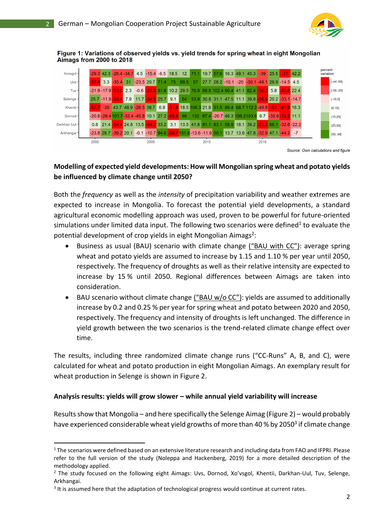

#### Figure 1: Variations of observed yields vs. yield trends for spring wheat in eight Mongolian Aimags from 2000 to 2018

| Xovsgol -     |  |                           |  |                        |      |  |                                      |                                                     |     |         | $-29.3$ 42.3 $-26.4$ -34.7 4.5 $-15.4$ -6.5 18.5 12 71.1 19.7 57.6 16.3 49.1 45.3 -39 25.5 -77 42.2 |  |  |                   |      |  |                                        |  |  |                                     | percent<br>variation |               |
|---------------|--|---------------------------|--|------------------------|------|--|--------------------------------------|-----------------------------------------------------|-----|---------|-----------------------------------------------------------------------------------------------------|--|--|-------------------|------|--|----------------------------------------|--|--|-------------------------------------|----------------------|---------------|
| Uvs -         |  |                           |  | $-57.4$ 3.3 $-35.4$ 31 |      |  | $-23.5$ 20.7 71.4                    |                                                     | -75 | 69.5 57 |                                                                                                     |  |  | $27.7$ 28.2 -10.1 |      |  | $-20$ $-30.1$ $-49.1$ 29.9 $-14.5$ 4.5 |  |  |                                     |                      | $(-lnf, -50]$ |
| $Tuv -$       |  | $-21.9 - 17.9 - 53.8$ 2.3 |  |                        |      |  |                                      |                                                     |     |         | -0.6 -53.5 81.8 10.2 29.5 76.8 89.8 102.4 90.4 41.1 82.4 -56.2 5.8 -85.8 22.4                       |  |  |                   |      |  |                                        |  |  |                                     |                      | $(-50,-25)$   |
| Selenge -     |  |                           |  |                        |      |  |                                      | 25.7 -11.9 -50.4 7.9 11.7 -54.5 25.7                | 9.1 | 54      | 53.9 30.8 31.1 47.5 11.1 39.8 -56.5 20.2 -33.1 -14.7                                                |  |  |                   |      |  |                                        |  |  |                                     |                      | $(-10, 0]$    |
| Khentii -     |  |                           |  |                        |      |  | $-57.7$ $-30$ 43.7 48.9 $-26.5$ 38.7 |                                                     |     |         | 6.8 -51.8 18.5 106.3 21.8 51.5 89.4 68.7 112.2 -49.8 -51 -61.9 16.3                                 |  |  |                   |      |  |                                        |  |  |                                     |                      | (0, 10]       |
| Dornod -      |  |                           |  |                        |      |  |                                      | $-20.8 - 28.4$ 101.7 - 32.4 - 45.8 10.1 27.2 - 69.9 |     | 86      | 132 67.4 -20.7 46.3 108.2103.6 6.7 -35.9 -76.2 11.1                                                 |  |  |                   |      |  |                                        |  |  |                                     |                      | (10, 25)      |
| Darkhan Uul - |  |                           |  |                        |      |  |                                      |                                                     |     |         | 0.8 21.4 -54.4 24.8 13.5 -64.2 33.2 3.1 13.5 41.8 81.1 83.1 58.9                                    |  |  |                   |      |  |                                        |  |  | 18.1 39.2 - 73.3 66.1 - 32.6 - 22.2 |                      | (25, 50)      |
| Arkhangai -   |  | $-2387 - 392201$          |  |                        |      |  |                                      |                                                     |     |         | $-0.1$ $-10.7$ 94.6 $-59.7$ 131.8 $-13.6$ $-11.9$ 50.1 13.7 13.6 47.8 $-32.9$ 47.1 $-44.2$ $-7$     |  |  |                   |      |  |                                        |  |  |                                     |                      | (50, lnf)     |
| 2000          |  |                           |  |                        | 2005 |  |                                      |                                                     |     |         | 2010                                                                                                |  |  |                   | 2015 |  |                                        |  |  |                                     |                      |               |

Source: Own calculations and figure

# **Modelling of expected yield developments: How will Mongolian spring wheat and potato yields be influenced by climate change until 2050?**

Both the *frequency* as well as the *intensity* of precipitation variability and weather extremes are expected to increase in Mongolia. To forecast the potential yield developments, a standard agricultural economic modelling approach was used, proven to be powerful for future-oriented simulations under limited data input. The following two scenarios were defined<sup>1</sup> to evaluate the potential development of crop yields in eight Mongolian Aimags<sup>2</sup>:

- Business as usual (BAU) scenario with climate change ("BAU with CC"): average spring wheat and potato yields are assumed to increase by 1.15 and 1.10 % per year until 2050, respectively. The frequency of droughts as well as their relative intensity are expected to increase by 15 % until 2050. Regional differences between Aimags are taken into consideration.
- BAU scenario without climate change  $\frac{(\text{H}^{\prime} + \text{H}^{\prime})}{(\text{H}^{\prime} + \text{H}^{\prime})}$  wields are assumed to additionally increase by 0.2 and 0.25 % per year for spring wheat and potato between 2020 and 2050, respectively. The frequency and intensity of droughts is left unchanged. The difference in yield growth between the two scenarios is the trend-related climate change effect over time.

The results, including three randomized climate change runs ("CC-Runs" A, B, and C), were calculated for wheat and potato production in eight Mongolian Aimags. An exemplary result for wheat production in Selenge is shown in Figure 2.

# **Analysis results: yields will grow slower – while annual yield variability will increase**

Results show that Mongolia – and here specifically the Selenge Aimag (Figure 2) – would probably have experienced considerable wheat yield growths of more than 40 % by 2050<sup>3</sup> if climate change

 $1$  The scenarios were defined based on an extensive literature research and including data from FAO and IFPRI. Please refer to the full version of the study (Noleppa and Hackenberg, 2019) for a more detailed description of the methodology applied.

<sup>&</sup>lt;sup>2</sup> The study focused on the following eight Aimags: Uvs, Dornod, Xo'vsgol, Khentii, Darkhan-Uul, Tuv, Selenge, Arkhangai.

<sup>&</sup>lt;sup>3</sup> It is assumed here that the adaptation of technological progress would continue at current rates.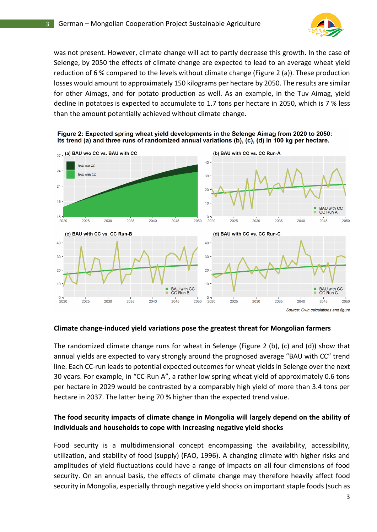

was not present. However, climate change will act to partly decrease this growth. In the case of Selenge, by 2050 the effects of climate change are expected to lead to an average wheat yield reduction of 6 % compared to the levels without climate change (Figure 2 (a)). These production losses would amount to approximately 150 kilograms per hectare by 2050. The results are similar for other Aimags, and for potato production as well. As an example, in the Tuv Aimag, yield decline in potatoes is expected to accumulate to 1.7 tons per hectare in 2050, which is 7 % less than the amount potentially achieved without climate change.



Figure 2: Expected spring wheat yield developments in the Selenge Aimag from 2020 to 2050: its trend (a) and three runs of randomized annual variations (b), (c), (d) in 100 kg per hectare.

# **Climate change-induced yield variations pose the greatest threat for Mongolian farmers**

The randomized climate change runs for wheat in Selenge (Figure 2 (b), (c) and (d)) show that annual yields are expected to vary strongly around the prognosed average "BAU with CC" trend line. Each CC-run leads to potential expected outcomes for wheat yields in Selenge over the next 30 years. For example, in "CC-Run A", a rather low spring wheat yield of approximately 0.6 tons per hectare in 2029 would be contrasted by a comparably high yield of more than 3.4 tons per hectare in 2037. The latter being 70 % higher than the expected trend value.

# **The food security impacts of climate change in Mongolia will largely depend on the ability of individuals and households to cope with increasing negative yield shocks**

Food security is a multidimensional concept encompassing the availability, accessibility, utilization, and stability of food (supply) (FAO, 1996). A changing climate with higher risks and amplitudes of yield fluctuations could have a range of impacts on all four dimensions of food security. On an annual basis, the effects of climate change may therefore heavily affect food security in Mongolia, especially through negative yield shocks on important staple foods (such as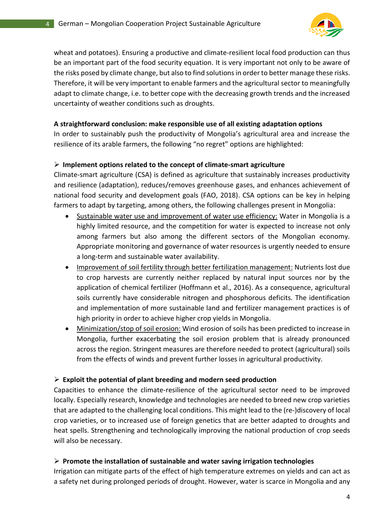

wheat and potatoes). Ensuring a productive and climate-resilient local food production can thus be an important part of the food security equation. It is very important not only to be aware of the risks posed by climate change, but also to find solutions in order to better manage these risks. Therefore, it will be very important to enable farmers and the agricultural sector to meaningfully adapt to climate change, i.e. to better cope with the decreasing growth trends and the increased uncertainty of weather conditions such as droughts.

## **A straightforward conclusion: make responsible use of all existing adaptation options**

In order to sustainably push the productivity of Mongolia's agricultural area and increase the resilience of its arable farmers, the following "no regret" options are highlighted:

# ➢ **Implement options related to the concept of climate-smart agriculture**

Climate-smart agriculture (CSA) is defined as agriculture that sustainably increases productivity and resilience (adaptation), reduces/removes greenhouse gases, and enhances achievement of national food security and development goals (FAO, 2018). CSA options can be key in helping farmers to adapt by targeting, among others, the following challenges present in Mongolia:

- Sustainable water use and improvement of water use efficiency: Water in Mongolia is a highly limited resource, and the competition for water is expected to increase not only among farmers but also among the different sectors of the Mongolian economy. Appropriate monitoring and governance of water resources is urgently needed to ensure a long-term and sustainable water availability.
- Improvement of soil fertility through better fertilization management: Nutrients lost due to crop harvests are currently neither replaced by natural input sources nor by the application of chemical fertilizer (Hoffmann et al., 2016). As a consequence, agricultural soils currently have considerable nitrogen and phosphorous deficits. The identification and implementation of more sustainable land and fertilizer management practices is of high priority in order to achieve higher crop yields in Mongolia.
- Minimization/stop of soil erosion: Wind erosion of soils has been predicted to increase in Mongolia, further exacerbating the soil erosion problem that is already pronounced across the region. Stringent measures are therefore needed to protect (agricultural) soils from the effects of winds and prevent further losses in agricultural productivity.

### ➢ **Exploit the potential of plant breeding and modern seed production**

Capacities to enhance the climate-resilience of the agricultural sector need to be improved locally. Especially research, knowledge and technologies are needed to breed new crop varieties that are adapted to the challenging local conditions. This might lead to the (re-)discovery of local crop varieties, or to increased use of foreign genetics that are better adapted to droughts and heat spells. Strengthening and technologically improving the national production of crop seeds will also be necessary.

### ➢ **Promote the installation of sustainable and water saving irrigation technologies**

Irrigation can mitigate parts of the effect of high temperature extremes on yields and can act as a safety net during prolonged periods of drought. However, water is scarce in Mongolia and any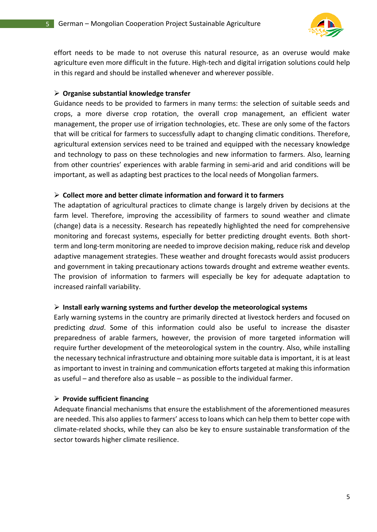

effort needs to be made to not overuse this natural resource, as an overuse would make agriculture even more difficult in the future. High-tech and digital irrigation solutions could help in this regard and should be installed whenever and wherever possible.

#### ➢ **Organise substantial knowledge transfer**

Guidance needs to be provided to farmers in many terms: the selection of suitable seeds and crops, a more diverse crop rotation, the overall crop management, an efficient water management, the proper use of irrigation technologies, etc. These are only some of the factors that will be critical for farmers to successfully adapt to changing climatic conditions. Therefore, agricultural extension services need to be trained and equipped with the necessary knowledge and technology to pass on these technologies and new information to farmers. Also, learning from other countries' experiences with arable farming in semi-arid and arid conditions will be important, as well as adapting best practices to the local needs of Mongolian farmers.

#### ➢ **Collect more and better climate information and forward it to farmers**

The adaptation of agricultural practices to climate change is largely driven by decisions at the farm level. Therefore, improving the accessibility of farmers to sound weather and climate (change) data is a necessity. Research has repeatedly highlighted the need for comprehensive monitoring and forecast systems, especially for better predicting drought events. Both shortterm and long-term monitoring are needed to improve decision making, reduce risk and develop adaptive management strategies. These weather and drought forecasts would assist producers and government in taking precautionary actions towards drought and extreme weather events. The provision of information to farmers will especially be key for adequate adaptation to increased rainfall variability.

#### ➢ **Install early warning systems and further develop the meteorological systems**

Early warning systems in the country are primarily directed at livestock herders and focused on predicting *dzud*. Some of this information could also be useful to increase the disaster preparedness of arable farmers, however, the provision of more targeted information will require further development of the meteorological system in the country. Also, while installing the necessary technical infrastructure and obtaining more suitable data is important, it is at least as important to invest in training and communication efforts targeted at making this information as useful – and therefore also as usable – as possible to the individual farmer.

# ➢ **Provide sufficient financing**

Adequate financial mechanisms that ensure the establishment of the aforementioned measures are needed. This also applies to farmers' access to loans which can help them to better cope with climate-related shocks, while they can also be key to ensure sustainable transformation of the sector towards higher climate resilience.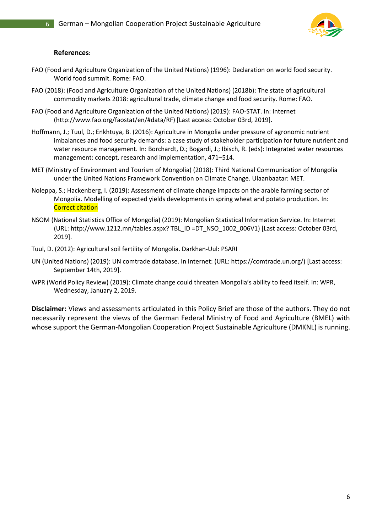

#### **References:**

- FAO (Food and Agriculture Organization of the United Nations) (1996): Declaration on world food security. World food summit. Rome: FAO.
- FAO (2018): (Food and Agriculture Organization of the United Nations) (2018b): The state of agricultural commodity markets 2018: agricultural trade, climate change and food security. Rome: FAO.
- FAO (Food and Agriculture Organization of the United Nations) (2019): FAO-STAT. In: Internet (http://www.fao.org/faostat/en/#data/RF) [Last access: October 03rd, 2019].
- Hoffmann, J.; Tuul, D.; Enkhtuya, B. (2016): Agriculture in Mongolia under pressure of agronomic nutrient imbalances and food security demands: a case study of stakeholder participation for future nutrient and water resource management. In: Borchardt, D.; Bogardi, J.; Ibisch, R. (eds): Integrated water resources management: concept, research and implementation, 471–514.
- MET (Ministry of Environment and Tourism of Mongolia) (2018): Third National Communication of Mongolia under the United Nations Framework Convention on Climate Change. Ulaanbaatar: MET.
- Noleppa, S.; Hackenberg, I. (2019): Assessment of climate change impacts on the arable farming sector of Mongolia. Modelling of expected yields developments in spring wheat and potato production. In: Correct citation
- NSOM (National Statistics Office of Mongolia) (2019): Mongolian Statistical Information Service. In: Internet (URL: http://www.1212.mn/tables.aspx? TBL\_ID =DT\_NSO\_1002\_006V1) [Last access: October 03rd, 2019].
- Tuul, D. (2012): Agricultural soil fertility of Mongolia. Darkhan-Uul: PSARI
- UN (United Nations) (2019): UN comtrade database. In Internet: (URL: https://comtrade.un.org/) [Last access: September 14th, 2019].
- WPR (World Policy Review) (2019): Climate change could threaten Mongolia's ability to feed itself. In: WPR, Wednesday, January 2, 2019.

**Disclaimer:** Views and assessments articulated in this Policy Brief are those of the authors. They do not necessarily represent the views of the German Federal Ministry of Food and Agriculture (BMEL) with whose support the German-Mongolian Cooperation Project Sustainable Agriculture (DMKNL) is running.